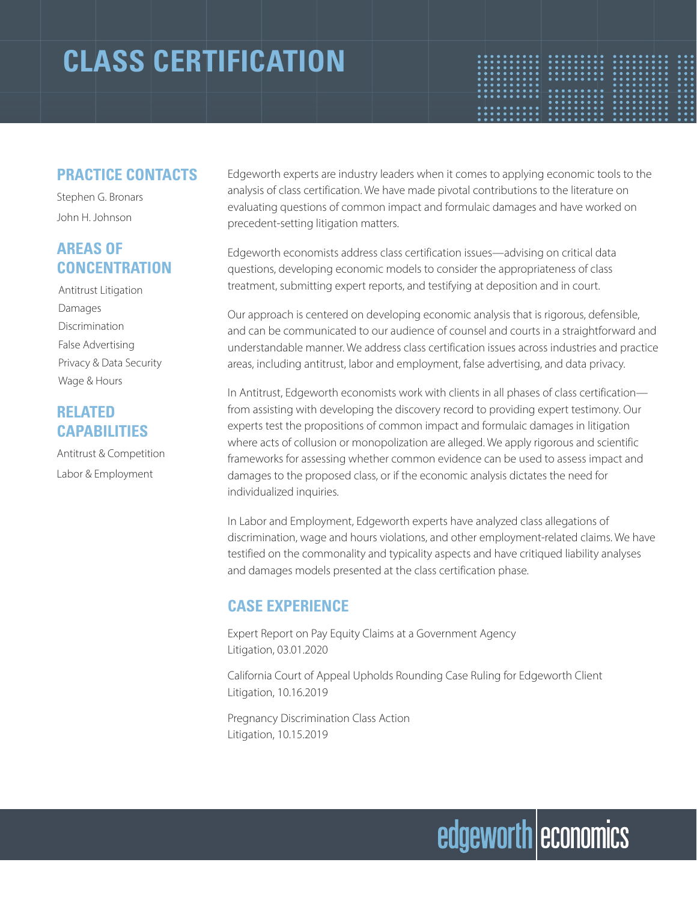### **CLASS CERTIFICATION**



#### **PRACTICE CONTACTS**

Stephen G. Bronars John H. Johnson

#### **AREAS OF CONCENTRATION**

Antitrust Litigation Damages Discrimination False Advertising Privacy & Data Security Wage & Hours

#### **RELATED CAPABILITIES**

Antitrust & Competition Labor & Employment

Edgeworth experts are industry leaders when it comes to applying economic tools to the analysis of class certification. We have made pivotal contributions to the literature on evaluating questions of common impact and formulaic damages and have worked on precedent-setting litigation matters.

Edgeworth economists address class certification issues—advising on critical data questions, developing economic models to consider the appropriateness of class treatment, submitting expert reports, and testifying at deposition and in court.

Our approach is centered on developing economic analysis that is rigorous, defensible, and can be communicated to our audience of counsel and courts in a straightforward and understandable manner. We address class certification issues across industries and practice areas, including antitrust, labor and employment, false advertising, and data privacy.

In Antitrust, Edgeworth economists work with clients in all phases of class certification from assisting with developing the discovery record to providing expert testimony. Our experts test the propositions of common impact and formulaic damages in litigation where acts of collusion or monopolization are alleged. We apply rigorous and scientific frameworks for assessing whether common evidence can be used to assess impact and damages to the proposed class, or if the economic analysis dictates the need for individualized inquiries.

In Labor and Employment, Edgeworth experts have analyzed class allegations of discrimination, wage and hours violations, and other employment-related claims. We have testified on the commonality and typicality aspects and have critiqued liability analyses and damages models presented at the class certification phase.

#### **CASE EXPERIENCE**

Expert Report on Pay Equity Claims at a Government Agency Litigation, 03.01.2020

California Court of Appeal Upholds Rounding Case Ruling for Edgeworth Client Litigation, 10.16.2019

Pregnancy Discrimination Class Action Litigation, 10.15.2019

# edgeworth economics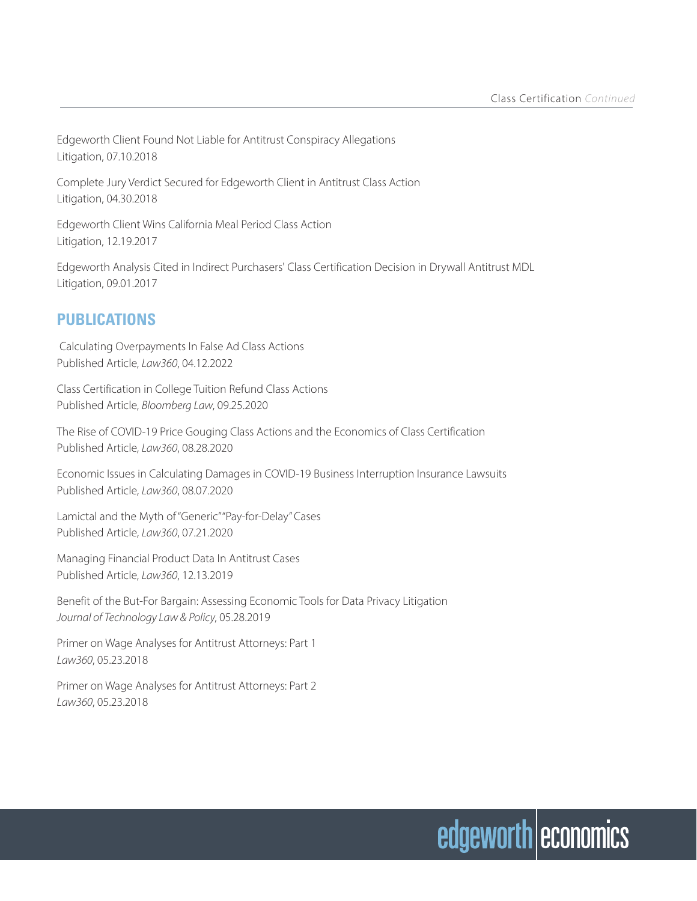Edgeworth Client Found Not Liable for Antitrust Conspiracy Allegations Litigation, 07.10.2018

Complete Jury Verdict Secured for Edgeworth Client in Antitrust Class Action Litigation, 04.30.2018

Edgeworth Client Wins California Meal Period Class Action Litigation, 12.19.2017

Edgeworth Analysis Cited in Indirect Purchasers' Class Certification Decision in Drywall Antitrust MDL Litigation, 09.01.2017

#### **PUBLICATIONS**

 Calculating Overpayments In False Ad Class Actions Published Article, *Law360*, 04.12.2022

Class Certification in College Tuition Refund Class Actions Published Article, *Bloomberg Law*, 09.25.2020

The Rise of COVID-19 Price Gouging Class Actions and the Economics of Class Certification Published Article, *Law360*, 08.28.2020

Economic Issues in Calculating Damages in COVID-19 Business Interruption Insurance Lawsuits Published Article, *Law360*, 08.07.2020

Lamictal and the Myth of "Generic" "Pay-for-Delay" Cases Published Article, *Law360*, 07.21.2020

Managing Financial Product Data In Antitrust Cases Published Article, *Law360*, 12.13.2019

Benefit of the But-For Bargain: Assessing Economic Tools for Data Privacy Litigation *Journal of Technology Law & Policy*, 05.28.2019

Primer on Wage Analyses for Antitrust Attorneys: Part 1 *Law360*, 05.23.2018

Primer on Wage Analyses for Antitrust Attorneys: Part 2 *Law360*, 05.23.2018

# edgeworth economics